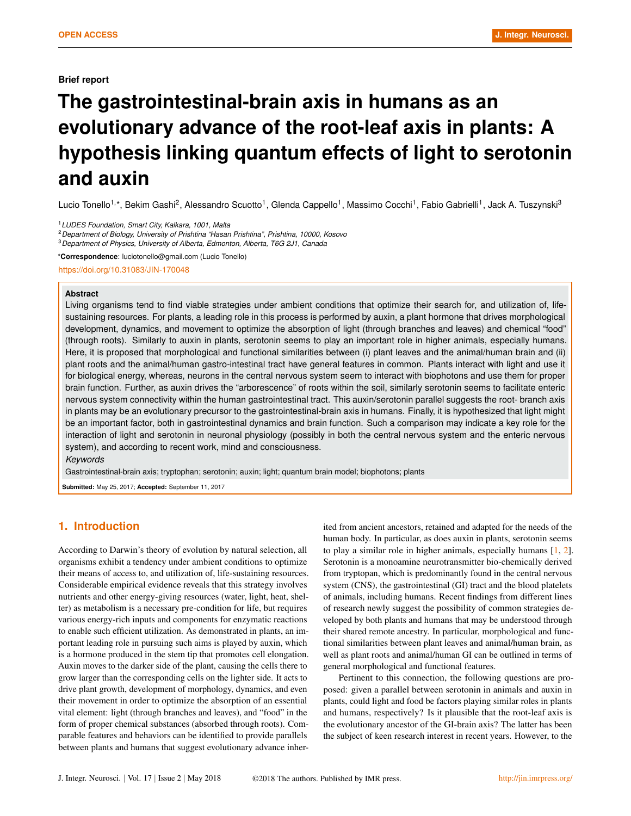# **The gastrointestinal-brain axis in humans as an evolutionary advance of the root-leaf axis in plants: A hypothesis linking quantum effects of light to serotonin and auxin**

Lucio Tonello<sup>1,\*</sup>, Bekim Gashi<sup>2</sup>, Alessandro Scuotto<sup>1</sup>, Glenda Cappello<sup>1</sup>, Massimo Cocchi<sup>1</sup>, Fabio Gabrielli<sup>1</sup>, Jack A. Tuszynski<sup>3</sup>

<sup>2</sup>*Department of Biology, University of Prishtina "Hasan Prishtina", Prishtina, 10000, Kosovo*

<sup>3</sup>*Department of Physics, University of Alberta, Edmonton, Alberta, T6G 2J1, Canada*

\***Correspondence**: luciotonello@gmail.com (Lucio Tonello)

https://doi.org/10.31083/JIN-170048

#### **Abstract**

Living organisms tend to find viable strategies under ambient conditions that optimize their search for, and utilization of, lifesustaining resources. For plants, a leading role in this process is performed by auxin, a plant hormone that drives morphological development, dynamics, and movement to optimize the absorption of light (through branches and leaves) and chemical "food" (through roots). Similarly to auxin in plants, serotonin seems to play an important role in higher animals, especially humans. Here, it is proposed that morphological and functional similarities between (i) plant leaves and the animal/human brain and (ii) plant roots and the animal/human gastro-intestinal tract have general features in common. Plants interact with light and use it for biological energy, whereas, neurons in the central nervous system seem to interact with biophotons and use them for proper brain function. Further, as auxin drives the "arborescence" of roots within the soil, similarly serotonin seems to facilitate enteric nervous system connectivity within the human gastrointestinal tract. This auxin/serotonin parallel suggests the root- branch axis in plants may be an evolutionary precursor to the gastrointestinal-brain axis in humans. Finally, it is hypothesized that light might be an important factor, both in gastrointestinal dynamics and brain function. Such a comparison may indicate a key role for the interaction of light and serotonin in neuronal physiology (possibly in both the central nervous system and the enteric nervous system), and according to recent work, mind and consciousness.

*Keywords*

Gastrointestinal-brain axis; tryptophan; serotonin; auxin; light; quantum brain model; biophotons; plants

**Submitted:** May 25, 2017; **Accepted:** September 11, 2017

# **1. Introduction**

According to Darwin's theory of evolution by natural selection, all organisms exhibit a tendency under ambient conditions to optimize their means of access to, and utilization of, life-sustaining resources. Considerable empirical evidence reveals that this strategy involves nutrients and other energy-giving resources (water, light, heat, shelter) as metabolism is a necessary pre-condition for life, but requires various energy-rich inputs and components for enzymatic reactions to enable such efficient utilization. As demonstrated in plants, an important leading role in pursuing such aims is played by auxin, which is a hormone produced in the stem tip that promotes cell elongation. Auxin moves to the darker side of the plant, causing the cells there to grow larger than the corresponding cells on the lighter side. It acts to drive plant growth, development of morphology, dynamics, and even their movement in order to optimize the absorption of an essential vital element: light (through branches and leaves), and "food" in the form of proper chemical substances (absorbed through roots). Comparable features and behaviors can be identified to provide parallels between plants and humans that suggest evolutionary advance inher-

ited from ancient ancestors, retained and adapted for the needs of the human body. In particular, as does auxin in plants, serotonin seems to play a similar role in higher animals, especially humans [\[1,](#page-4-0) [2\]](#page-4-1). Serotonin is a monoamine neurotransmitter bio-chemically derived from tryptopan, which is predominantly found in the central nervous system (CNS), the gastrointestinal (GI) tract and the blood platelets of animals, including humans. Recent findings from different lines of research newly suggest the possibility of common strategies developed by both plants and humans that may be understood through their shared remote ancestry. In particular, morphological and functional similarities between plant leaves and animal/human brain, as well as plant roots and animal/human GI can be outlined in terms of general morphological and functional features.

Pertinent to this connection, the following questions are proposed: given a parallel between serotonin in animals and auxin in plants, could light and food be factors playing similar roles in plants and humans, respectively? Is it plausible that the root-leaf axis is the evolutionary ancestor of the GI-brain axis? The latter has been the subject of keen research interest in recent years. However, to the

<sup>1</sup>*LUDES Foundation, Smart City, Kalkara, 1001, Malta*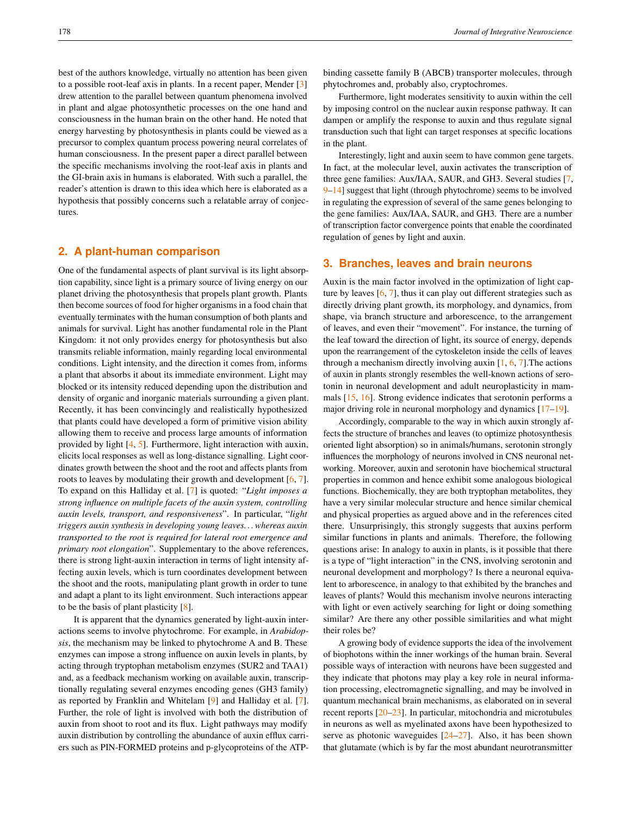best of the authors knowledge, virtually no attention has been given to a possible root-leaf axis in plants. In a recent paper, Mender [\[3\]](#page-4-2) drew attention to the parallel between quantum phenomena involved in plant and algae photosynthetic processes on the one hand and consciousness in the human brain on the other hand. He noted that energy harvesting by photosynthesis in plants could be viewed as a precursor to complex quantum process powering neural correlates of human consciousness. In the present paper a direct parallel between the specific mechanisms involving the root-leaf axis in plants and the GI-brain axis in humans is elaborated. With such a parallel, the reader's attention is drawn to this idea which here is elaborated as a hypothesis that possibly concerns such a relatable array of conjectures.

## **2. A plant-human comparison**

One of the fundamental aspects of plant survival is its light absorption capability, since light is a primary source of living energy on our planet driving the photosynthesis that propels plant growth. Plants then become sources of food for higher organisms in a food chain that eventually terminates with the human consumption of both plants and animals for survival. Light has another fundamental role in the Plant Kingdom: it not only provides energy for photosynthesis but also transmits reliable information, mainly regarding local environmental conditions. Light intensity, and the direction it comes from, informs a plant that absorbs it about its immediate environment. Light may blocked or its intensity reduced depending upon the distribution and density of organic and inorganic materials surrounding a given plant. Recently, it has been convincingly and realistically hypothesized that plants could have developed a form of primitive vision ability allowing them to receive and process large amounts of information provided by light [\[4,](#page-4-3) [5\]](#page-4-4). Furthermore, light interaction with auxin, elicits local responses as well as long-distance signalling. Light coordinates growth between the shoot and the root and affects plants from roots to leaves by modulating their growth and development [\[6,](#page-4-5) [7\]](#page-4-6). To expand on this Halliday et al. [\[7\]](#page-4-6) is quoted: "*Light imposes a strong influence on multiple facets of the auxin system, controlling auxin levels, transport, and responsiveness*". In particular, "*light triggers auxin synthesis in developing young leaves. . . whereas auxin transported to the root is required for lateral root emergence and primary root elongation*". Supplementary to the above references, there is strong light-auxin interaction in terms of light intensity affecting auxin levels, which is turn coordinates development between the shoot and the roots, manipulating plant growth in order to tune and adapt a plant to its light environment. Such interactions appear to be the basis of plant plasticity [\[8\]](#page-4-7).

It is apparent that the dynamics generated by light-auxin interactions seems to involve phytochrome. For example, in *Arabidopsis*, the mechanism may be linked to phytochrome A and B. These enzymes can impose a strong influence on auxin levels in plants, by acting through tryptophan metabolism enzymes (SUR2 and TAA1) and, as a feedback mechanism working on available auxin, transcriptionally regulating several enzymes encoding genes (GH3 family) as reported by Franklin and Whitelam [\[9\]](#page-4-8) and Halliday et al. [\[7\]](#page-4-6). Further, the role of light is involved with both the distribution of auxin from shoot to root and its flux. Light pathways may modify auxin distribution by controlling the abundance of auxin efflux carriers such as PIN-FORMED proteins and p-glycoproteins of the ATP-

binding cassette family B (ABCB) transporter molecules, through phytochromes and, probably also, cryptochromes.

Furthermore, light moderates sensitivity to auxin within the cell by imposing control on the nuclear auxin response pathway. It can dampen or amplify the response to auxin and thus regulate signal transduction such that light can target responses at specific locations in the plant.

Interestingly, light and auxin seem to have common gene targets. In fact, at the molecular level, auxin activates the transcription of three gene families: Aux/IAA, SAUR, and GH3. Several studies [\[7,](#page-4-6) [9–](#page-4-8)[14\]](#page-4-9) suggest that light (through phytochrome) seems to be involved in regulating the expression of several of the same genes belonging to the gene families: Aux/IAA, SAUR, and GH3. There are a number of transcription factor convergence points that enable the coordinated regulation of genes by light and auxin.

#### **3. Branches, leaves and brain neurons**

Auxin is the main factor involved in the optimization of light capture by leaves  $[6, 7]$  $[6, 7]$  $[6, 7]$ , thus it can play out different strategies such as directly driving plant growth, its morphology, and dynamics, from shape, via branch structure and arborescence, to the arrangement of leaves, and even their "movement". For instance, the turning of the leaf toward the direction of light, its source of energy, depends upon the rearrangement of the cytoskeleton inside the cells of leaves through a mechanism directly involving auxin [\[1,](#page-4-0) [6,](#page-4-5) [7\]](#page-4-6).The actions of auxin in plants strongly resembles the well-known actions of serotonin in neuronal development and adult neuroplasticity in mammals [\[15,](#page-4-10) [16\]](#page-4-11). Strong evidence indicates that serotonin performs a major driving role in neuronal morphology and dynamics [\[17–](#page-4-12)[19\]](#page-4-13).

Accordingly, comparable to the way in which auxin strongly affects the structure of branches and leaves (to optimize photosynthesis oriented light absorption) so in animals/humans, serotonin strongly influences the morphology of neurons involved in CNS neuronal networking. Moreover, auxin and serotonin have biochemical structural properties in common and hence exhibit some analogous biological functions. Biochemically, they are both tryptophan metabolites, they have a very similar molecular structure and hence similar chemical and physical properties as argued above and in the references cited there. Unsurprisingly, this strongly suggests that auxins perform similar functions in plants and animals. Therefore, the following questions arise: In analogy to auxin in plants, is it possible that there is a type of "light interaction" in the CNS, involving serotonin and neuronal development and morphology? Is there a neuronal equivalent to arborescence, in analogy to that exhibited by the branches and leaves of plants? Would this mechanism involve neurons interacting with light or even actively searching for light or doing something similar? Are there any other possible similarities and what might their roles be?

A growing body of evidence supports the idea of the involvement of biophotons within the inner workings of the human brain. Several possible ways of interaction with neurons have been suggested and they indicate that photons may play a key role in neural information processing, electromagnetic signalling, and may be involved in quantum mechanical brain mechanisms, as elaborated on in several recent reports [\[20–](#page-4-14)[23\]](#page-5-0). In particular, mitochondria and microtubules in neurons as well as myelinated axons have been hypothesized to serve as photonic waveguides  $[24–27]$  $[24–27]$ . Also, it has been shown that glutamate (which is by far the most abundant neurotransmitter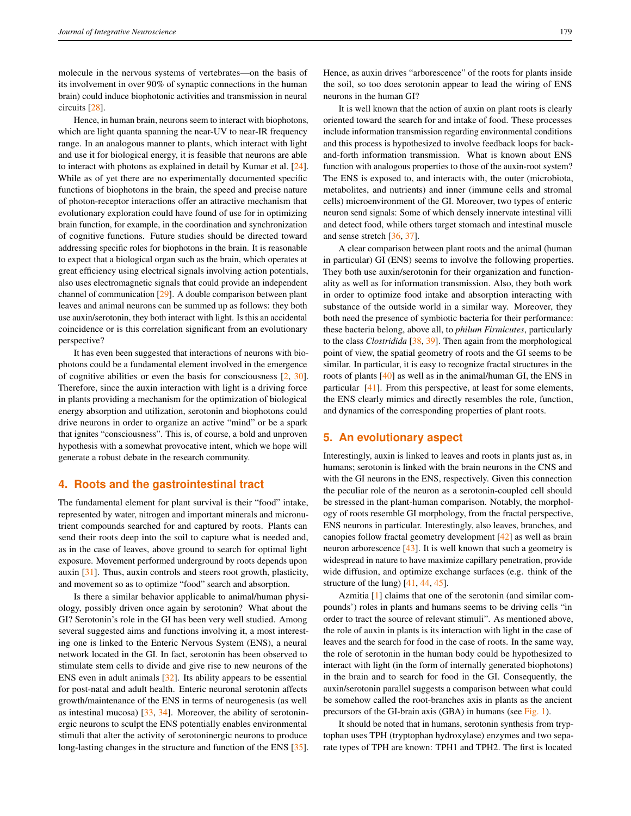circuits [\[28\]](#page-5-3). Hence, in human brain, neurons seem to interact with biophotons, which are light quanta spanning the near-UV to near-IR frequency range. In an analogous manner to plants, which interact with light and use it for biological energy, it is feasible that neurons are able to interact with photons as explained in detail by Kumar et al. [\[24\]](#page-5-1). While as of yet there are no experimentally documented specific functions of biophotons in the brain, the speed and precise nature of photon-receptor interactions offer an attractive mechanism that evolutionary exploration could have found of use for in optimizing brain function, for example, in the coordination and synchronization of cognitive functions. Future studies should be directed toward addressing specific roles for biophotons in the brain. It is reasonable to expect that a biological organ such as the brain, which operates at great efficiency using electrical signals involving action potentials, also uses electromagnetic signals that could provide an independent channel of communication [\[29\]](#page-5-4). A double comparison between plant leaves and animal neurons can be summed up as follows: they both use auxin/serotonin, they both interact with light. Is this an accidental coincidence or is this correlation significant from an evolutionary perspective?

It has even been suggested that interactions of neurons with biophotons could be a fundamental element involved in the emergence of cognitive abilities or even the basis for consciousness [\[2,](#page-4-1) [30\]](#page-5-5). Therefore, since the auxin interaction with light is a driving force in plants providing a mechanism for the optimization of biological energy absorption and utilization, serotonin and biophotons could drive neurons in order to organize an active "mind" or be a spark that ignites "consciousness". This is, of course, a bold and unproven hypothesis with a somewhat provocative intent, which we hope will generate a robust debate in the research community.

#### **4. Roots and the gastrointestinal tract**

The fundamental element for plant survival is their "food" intake, represented by water, nitrogen and important minerals and micronutrient compounds searched for and captured by roots. Plants can send their roots deep into the soil to capture what is needed and, as in the case of leaves, above ground to search for optimal light exposure. Movement performed underground by roots depends upon auxin [\[31\]](#page-5-6). Thus, auxin controls and steers root growth, plasticity, and movement so as to optimize "food" search and absorption.

Is there a similar behavior applicable to animal/human physiology, possibly driven once again by serotonin? What about the GI? Serotonin's role in the GI has been very well studied. Among several suggested aims and functions involving it, a most interesting one is linked to the Enteric Nervous System (ENS), a neural network located in the GI. In fact, serotonin has been observed to stimulate stem cells to divide and give rise to new neurons of the ENS even in adult animals [\[32\]](#page-5-7). Its ability appears to be essential for post-natal and adult health. Enteric neuronal serotonin affects growth/maintenance of the ENS in terms of neurogenesis (as well as intestinal mucosa)  $[33, 34]$  $[33, 34]$  $[33, 34]$ . Moreover, the ability of serotoninergic neurons to sculpt the ENS potentially enables environmental stimuli that alter the activity of serotoninergic neurons to produce long-lasting changes in the structure and function of the ENS [\[35\]](#page-5-10).

Hence, as auxin drives "arborescence" of the roots for plants inside the soil, so too does serotonin appear to lead the wiring of ENS neurons in the human GI?

It is well known that the action of auxin on plant roots is clearly oriented toward the search for and intake of food. These processes include information transmission regarding environmental conditions and this process is hypothesized to involve feedback loops for backand-forth information transmission. What is known about ENS function with analogous properties to those of the auxin-root system? The ENS is exposed to, and interacts with, the outer (microbiota, metabolites, and nutrients) and inner (immune cells and stromal cells) microenvironment of the GI. Moreover, two types of enteric neuron send signals: Some of which densely innervate intestinal villi and detect food, while others target stomach and intestinal muscle and sense stretch [\[36,](#page-5-11) [37\]](#page-5-12).

A clear comparison between plant roots and the animal (human in particular) GI (ENS) seems to involve the following properties. They both use auxin/serotonin for their organization and functionality as well as for information transmission. Also, they both work in order to optimize food intake and absorption interacting with substance of the outside world in a similar way. Moreover, they both need the presence of symbiotic bacteria for their performance: these bacteria belong, above all, to *philum Firmicutes*, particularly to the class *Clostridida* [\[38,](#page-5-13) [39\]](#page-5-14). Then again from the morphological point of view, the spatial geometry of roots and the GI seems to be similar. In particular, it is easy to recognize fractal structures in the roots of plants [\[40\]](#page-5-15) as well as in the animal/human GI, the ENS in particular [\[41\]](#page-5-16). From this perspective, at least for some elements, the ENS clearly mimics and directly resembles the role, function, and dynamics of the corresponding properties of plant roots.

### **5. An evolutionary aspect**

Interestingly, auxin is linked to leaves and roots in plants just as, in humans; serotonin is linked with the brain neurons in the CNS and with the GI neurons in the ENS, respectively. Given this connection the peculiar role of the neuron as a serotonin-coupled cell should be stressed in the plant-human comparison. Notably, the morphology of roots resemble GI morphology, from the fractal perspective, ENS neurons in particular. Interestingly, also leaves, branches, and canopies follow fractal geometry development [\[42\]](#page-5-17) as well as brain neuron arborescence [\[43\]](#page-5-18). It is well known that such a geometry is widespread in nature to have maximize capillary penetration, provide wide diffusion, and optimize exchange surfaces (e.g. think of the structure of the lung) [\[41,](#page-5-16) [44,](#page-5-19) [45\]](#page-5-20).

Azmitia [\[1\]](#page-4-0) claims that one of the serotonin (and similar compounds') roles in plants and humans seems to be driving cells "in order to tract the source of relevant stimuli". As mentioned above, the role of auxin in plants is its interaction with light in the case of leaves and the search for food in the case of roots. In the same way, the role of serotonin in the human body could be hypothesized to interact with light (in the form of internally generated biophotons) in the brain and to search for food in the GI. Consequently, the auxin/serotonin parallel suggests a comparison between what could be somehow called the root-branches axis in plants as the ancient precursors of the GI-brain axis (GBA) in humans (see Fig. [1\)](#page-3-0).

It should be noted that in humans, serotonin synthesis from tryptophan uses TPH (tryptophan hydroxylase) enzymes and two separate types of TPH are known: TPH1 and TPH2. The first is located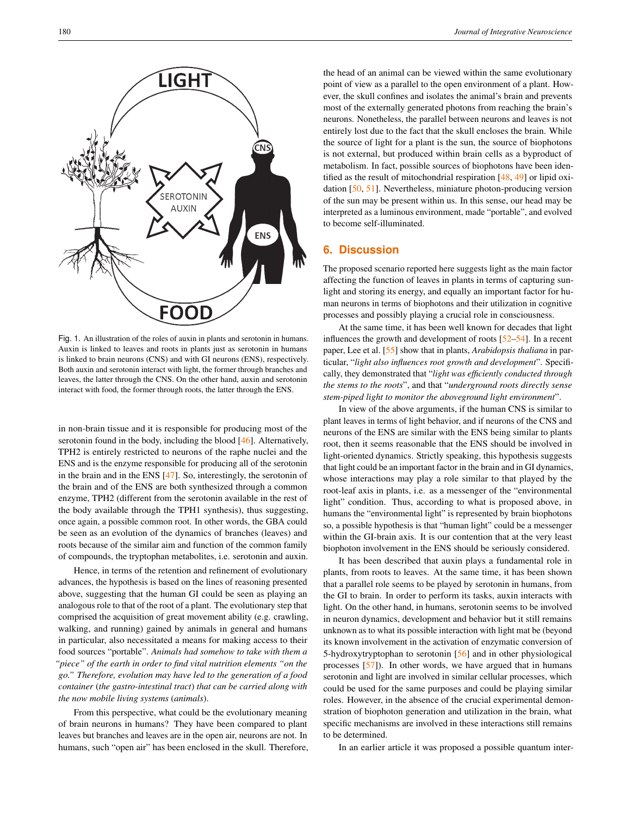<span id="page-3-0"></span>

Fig. 1. An illustration of the roles of auxin in plants and serotonin in humans. Auxin is linked to leaves and roots in plants just as serotonin in humans is linked to brain neurons (CNS) and with GI neurons (ENS), respectively. Both auxin and serotonin interact with light, the former through branches and leaves, the latter through the CNS. On the other hand, auxin and serotonin interact with food, the former through roots, the latter through the ENS.

in non-brain tissue and it is responsible for producing most of the serotonin found in the body, including the blood [\[46\]](#page-5-21). Alternatively, TPH2 is entirely restricted to neurons of the raphe nuclei and the ENS and is the enzyme responsible for producing all of the serotonin in the brain and in the ENS [\[47\]](#page-5-22). So, interestingly, the serotonin of the brain and of the ENS are both synthesized through a common enzyme, TPH2 (different from the serotonin available in the rest of the body available through the TPH1 synthesis), thus suggesting, once again, a possible common root. In other words, the GBA could be seen as an evolution of the dynamics of branches (leaves) and roots because of the similar aim and function of the common family of compounds, the tryptophan metabolites, i.e. serotonin and auxin.

Hence, in terms of the retention and refinement of evolutionary advances, the hypothesis is based on the lines of reasoning presented above, suggesting that the human GI could be seen as playing an analogous role to that of the root of a plant. The evolutionary step that comprised the acquisition of great movement ability (e.g. crawling, walking, and running) gained by animals in general and humans in particular, also necessitated a means for making access to their food sources "portable". *Animals had somehow to take with them a "piece" of the earth in order to find vital nutrition elements "on the go." Therefore, evolution may have led to the generation of a food container* (*the gastro-intestinal tract*) *that can be carried along with the now mobile living systems* (*animals*).

From this perspective, what could be the evolutionary meaning of brain neurons in humans? They have been compared to plant leaves but branches and leaves are in the open air, neurons are not. In humans, such "open air" has been enclosed in the skull. Therefore,

the head of an animal can be viewed within the same evolutionary point of view as a parallel to the open environment of a plant. However, the skull confines and isolates the animal's brain and prevents most of the externally generated photons from reaching the brain's neurons. Nonetheless, the parallel between neurons and leaves is not entirely lost due to the fact that the skull encloses the brain. While the source of light for a plant is the sun, the source of biophotons is not external, but produced within brain cells as a byproduct of metabolism. In fact, possible sources of biophotons have been identified as the result of mitochondrial respiration [\[48,](#page-5-23) [49\]](#page-5-24) or lipid oxidation [\[50,](#page-5-25) [51\]](#page-5-26). Nevertheless, miniature photon-producing version of the sun may be present within us. In this sense, our head may be interpreted as a luminous environment, made "portable", and evolved to become self-illuminated.

# **6. Discussion**

The proposed scenario reported here suggests light as the main factor affecting the function of leaves in plants in terms of capturing sunlight and storing its energy, and equally an important factor for human neurons in terms of biophotons and their utilization in cognitive processes and possibly playing a crucial role in consciousness.

At the same time, it has been well known for decades that light influences the growth and development of roots [\[52](#page-5-27)[–54\]](#page-5-28). In a recent paper, Lee et al. [\[55\]](#page-5-29) show that in plants, *Arabidopsis thaliana* in particular, "*light also influences root growth and development*". Specifically, they demonstrated that "*light was efficiently conducted through the stems to the roots*", and that "*underground roots directly sense stem-piped light to monitor the aboveground light environment*".

In view of the above arguments, if the human CNS is similar to plant leaves in terms of light behavior, and if neurons of the CNS and neurons of the ENS are similar with the ENS being similar to plants root, then it seems reasonable that the ENS should be involved in light-oriented dynamics. Strictly speaking, this hypothesis suggests that light could be an important factor in the brain and in GI dynamics, whose interactions may play a role similar to that played by the root-leaf axis in plants, i.e. as a messenger of the "environmental light" condition. Thus, according to what is proposed above, in humans the "environmental light" is represented by brain biophotons so, a possible hypothesis is that "human light" could be a messenger within the GI-brain axis. It is our contention that at the very least biophoton involvement in the ENS should be seriously considered.

It has been described that auxin plays a fundamental role in plants, from roots to leaves. At the same time, it has been shown that a parallel role seems to be played by serotonin in humans, from the GI to brain. In order to perform its tasks, auxin interacts with light. On the other hand, in humans, serotonin seems to be involved in neuron dynamics, development and behavior but it still remains unknown as to what its possible interaction with light mat be (beyond its known involvement in the activation of enzymatic conversion of 5-hydroxytryptophan to serotonin [\[56\]](#page-6-0) and in other physiological processes [\[57\]](#page-6-1)). In other words, we have argued that in humans serotonin and light are involved in similar cellular processes, which could be used for the same purposes and could be playing similar roles. However, in the absence of the crucial experimental demonstration of biophoton generation and utilization in the brain, what specific mechanisms are involved in these interactions still remains to be determined.

In an earlier article it was proposed a possible quantum inter-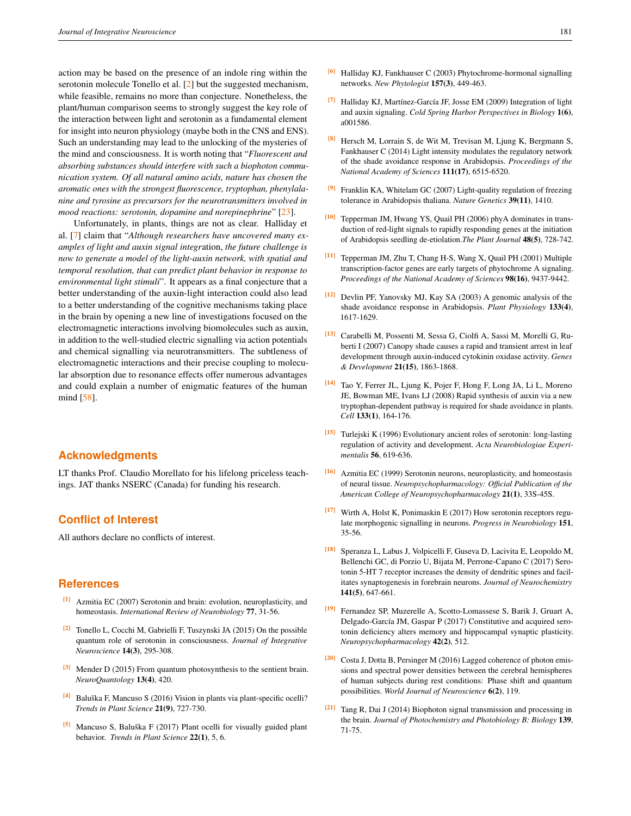action may be based on the presence of an indole ring within the serotonin molecule Tonello et al. [\[2\]](#page-4-1) but the suggested mechanism, while feasible, remains no more than conjecture. Nonetheless, the plant/human comparison seems to strongly suggest the key role of the interaction between light and serotonin as a fundamental element for insight into neuron physiology (maybe both in the CNS and ENS). Such an understanding may lead to the unlocking of the mysteries of the mind and consciousness. It is worth noting that "*Fluorescent and absorbing substances should interfere with such a biophoton communication system. Of all natural amino acids, nature has chosen the aromatic ones with the strongest fluorescence, tryptophan, phenylalanine and tyrosine as precursors for the neurotransmitters involved in mood reactions: serotonin, dopamine and norepinephrine*" [\[23\]](#page-5-0).

Unfortunately, in plants, things are not as clear. Halliday et al. [\[7\]](#page-4-6) claim that "*Although researchers have uncovered many examples of light and auxin signal integr*ation, *the future challenge is now to generate a model of the light-auxin network, with spatial and temporal resolution, that can predict plant behavior in response to environmental light stimuli*". It appears as a final conjecture that a better understanding of the auxin-light interaction could also lead to a better understanding of the cognitive mechanisms taking place in the brain by opening a new line of investigations focused on the electromagnetic interactions involving biomolecules such as auxin, in addition to the well-studied electric signalling via action potentials and chemical signalling via neurotransmitters. The subtleness of electromagnetic interactions and their precise coupling to molecular absorption due to resonance effects offer numerous advantages and could explain a number of enigmatic features of the human mind [\[58\]](#page-6-2).

#### **Acknowledgments**

LT thanks Prof. Claudio Morellato for his lifelong priceless teachings. JAT thanks NSERC (Canada) for funding his research.

## **Conflict of Interest**

All authors declare no conflicts of interest.

## **References**

- <span id="page-4-0"></span>[1] Azmitia EC (2007) Serotonin and brain: evolution, neuroplasticity, and homeostasis. *International Review of Neurobiology* 77, 31-56.
- <span id="page-4-1"></span>[2] Tonello L, Cocchi M, Gabrielli F, Tuszynski JA (2015) On the possible quantum role of serotonin in consciousness. *Journal of Integrative Neuroscience* 14(3), 295-308.
- <span id="page-4-2"></span>[3] Mender D (2015) From quantum photosynthesis to the sentient brain. *NeuroQuantology* 13(4), 420.
- <span id="page-4-3"></span> $[4]$  Baluška F, Mancuso S (2016) Vision in plants via plant-specific ocelli? *Trends in Plant Science* 21(9), 727-730.
- <span id="page-4-4"></span> $[5]$  Mancuso S, Baluška F (2017) Plant ocelli for visually guided plant behavior. *Trends in Plant Science* 22(1), 5, 6.
- <span id="page-4-5"></span>[6] Halliday KJ, Fankhauser C (2003) Phytochrome-hormonal signalling networks. *New Phytologist* 157(3), 449-463.
- <span id="page-4-6"></span><sup>[7]</sup> Halliday KJ, Martínez-García JF, Josse EM (2009) Integration of light and auxin signaling. *Cold Spring Harbor Perspectives in Biology* 1(6), a001586.
- <span id="page-4-7"></span>[8] Hersch M, Lorrain S, de Wit M, Trevisan M, Ljung K, Bergmann S, Fankhauser C (2014) Light intensity modulates the regulatory network of the shade avoidance response in Arabidopsis. *Proceedings of the National Academy of Sciences* 111(17), 6515-6520.
- <span id="page-4-8"></span>[9] Franklin KA, Whitelam GC (2007) Light-quality regulation of freezing tolerance in Arabidopsis thaliana. *Nature Genetics* 39(11), 1410.
- [10] Tepperman JM, Hwang YS, Quail PH (2006) phyA dominates in transduction of red-light signals to rapidly responding genes at the initiation of Arabidopsis seedling de-etiolation.*The Plant Journal* 48(5), 728-742.
- [11] Tepperman JM, Zhu T, Chang H-S, Wang X, Quail PH (2001) Multiple transcription-factor genes are early targets of phytochrome A signaling. *Proceedings of the National Academy of Sciences* 98(16), 9437-9442.
- [12] Devlin PF, Yanovsky MJ, Kay SA (2003) A genomic analysis of the shade avoidance response in Arabidopsis. *Plant Physiology* 133(4), 1617-1629.
- [13] Carabelli M, Possenti M, Sessa G, Ciolfi A, Sassi M, Morelli G, Ruberti I (2007) Canopy shade causes a rapid and transient arrest in leaf development through auxin-induced cytokinin oxidase activity. *Genes & Development* 21(15), 1863-1868.
- <span id="page-4-9"></span>[14] Tao Y, Ferrer JL, Ljung K, Pojer F, Hong F, Long JA, Li L, Moreno JE, Bowman ME, Ivans LJ (2008) Rapid synthesis of auxin via a new tryptophan-dependent pathway is required for shade avoidance in plants. *Cell* 133(1), 164-176.
- <span id="page-4-10"></span>[15] Turlejski K (1996) Evolutionary ancient roles of serotonin: long-lasting regulation of activity and development. *Acta Neurobiologiae Experimentalis* 56, 619-636.
- <span id="page-4-11"></span>[16] Azmitia EC (1999) Serotonin neurons, neuroplasticity, and homeostasis of neural tissue. *Neuropsychopharmacology: Official Publication of the American College of Neuropsychopharmacology* 21(1), 33S-45S.
- <span id="page-4-12"></span>[17] Wirth A, Holst K, Ponimaskin E (2017) How serotonin receptors regulate morphogenic signalling in neurons. *Progress in Neurobiology* 151, 35-56.
- [18] Speranza L, Labus J, Volpicelli F, Guseva D, Lacivita E, Leopoldo M, Bellenchi GC, di Porzio U, Bijata M, Perrone-Capano C (2017) Serotonin 5-HT 7 receptor increases the density of dendritic spines and facilitates synaptogenesis in forebrain neurons. *Journal of Neurochemistry* 141(5), 647-661.
- <span id="page-4-13"></span>[19] Fernandez SP, Muzerelle A, Scotto-Lomassese S, Barik J, Gruart A, Delgado-García JM, Gaspar P (2017) Constitutive and acquired serotonin deficiency alters memory and hippocampal synaptic plasticity. *Neuropsychopharmacology* 42(2), 512.
- <span id="page-4-14"></span>[20] Costa J, Dotta B, Persinger M (2016) Lagged coherence of photon emissions and spectral power densities between the cerebral hemispheres of human subjects during rest conditions: Phase shift and quantum possibilities. *World Journal of Neuroscience* 6(2), 119.
- [21] Tang R, Dai J (2014) Biophoton signal transmission and processing in the brain. *Journal of Photochemistry and Photobiology B: Biology* 139, 71-75.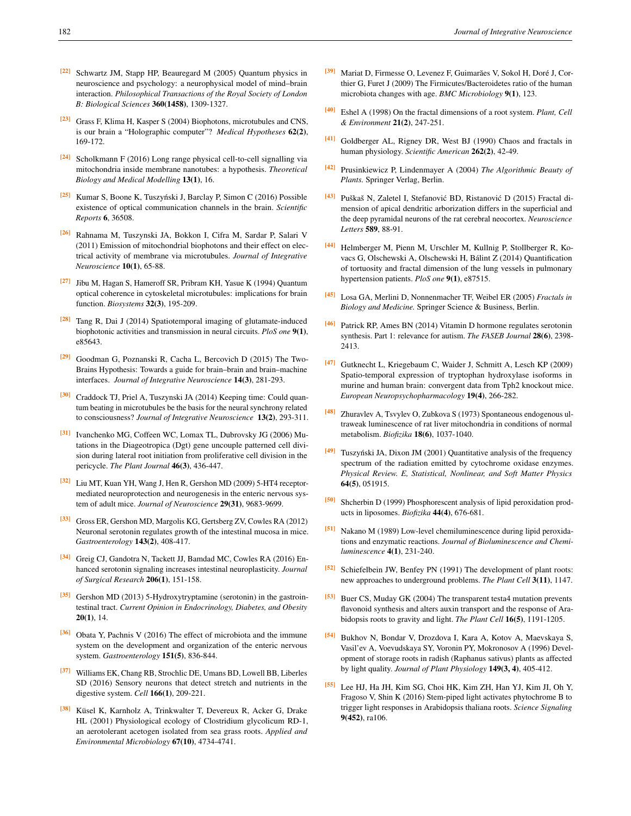- [22] Schwartz JM, Stapp HP, Beauregard M (2005) Quantum physics in neuroscience and psychology: a neurophysical model of mind–brain interaction. *Philosophical Transactions of the Royal Society of London B: Biological Sciences* 360(1458), 1309-1327.
- <span id="page-5-0"></span>[23] Grass F, Klima H, Kasper S (2004) Biophotons, microtubules and CNS, is our brain a "Holographic computer"? *Medical Hypotheses* 62(2), 169-172.
- <span id="page-5-1"></span>[24] Scholkmann F (2016) Long range physical cell-to-cell signalling via mitochondria inside membrane nanotubes: a hypothesis. *Theoretical Biology and Medical Modelling* 13(1), 16.
- [25] Kumar S, Boone K, Tuszynski J, Barclay P, Simon C (2016) Possible ´ existence of optical communication channels in the brain. *Scientific Reports* 6, 36508.
- [26] Rahnama M, Tuszynski JA, Bokkon I, Cifra M, Sardar P, Salari V (2011) Emission of mitochondrial biophotons and their effect on electrical activity of membrane via microtubules. *Journal of Integrative Neuroscience* 10(1), 65-88.
- <span id="page-5-2"></span>[27] Jibu M, Hagan S, Hameroff SR, Pribram KH, Yasue K (1994) Quantum optical coherence in cytoskeletal microtubules: implications for brain function. *Biosystems* 32(3), 195-209.
- <span id="page-5-3"></span> $[28]$  Tang R, Dai J (2014) Spatiotemporal imaging of glutamate-induced biophotonic activities and transmission in neural circuits. *PloS one* 9(1), e85643.
- <span id="page-5-4"></span>[29] Goodman G, Poznanski R, Cacha L, Bercovich D (2015) The Two-Brains Hypothesis: Towards a guide for brain–brain and brain–machine interfaces. *Journal of Integrative Neuroscience* 14(3), 281-293.
- <span id="page-5-5"></span>[30] Craddock TJ, Priel A, Tuszynski JA (2014) Keeping time: Could quantum beating in microtubules be the basis for the neural synchrony related to consciousness? *Journal of Integrative Neuroscience* 13(2), 293-311.
- <span id="page-5-6"></span>[31] Ivanchenko MG, Coffeen WC, Lomax TL, Dubrovsky JG (2006) Mutations in the Diageotropica (Dgt) gene uncouple patterned cell division during lateral root initiation from proliferative cell division in the pericycle. *The Plant Journal* 46(3), 436-447.
- <span id="page-5-7"></span>[32] Liu MT, Kuan YH, Wang J, Hen R, Gershon MD (2009) 5-HT4 receptormediated neuroprotection and neurogenesis in the enteric nervous system of adult mice. *Journal of Neuroscience* 29(31), 9683-9699.
- <span id="page-5-8"></span>[33] Gross ER, Gershon MD, Margolis KG, Gertsberg ZV, Cowles RA (2012) Neuronal serotonin regulates growth of the intestinal mucosa in mice. *Gastroenterology* 143(2), 408-417.
- <span id="page-5-9"></span>[34] Greig CJ, Gandotra N, Tackett JJ, Bamdad MC, Cowles RA (2016) Enhanced serotonin signaling increases intestinal neuroplasticity. *Journal of Surgical Research* 206(1), 151-158.
- <span id="page-5-10"></span>[35] Gershon MD (2013) 5-Hydroxytryptamine (serotonin) in the gastrointestinal tract. *Current Opinion in Endocrinology, Diabetes, and Obesity*  $20(1)$ , 14.
- <span id="page-5-11"></span>[36] Obata Y, Pachnis V (2016) The effect of microbiota and the immune system on the development and organization of the enteric nervous system. *Gastroenterology* 151(5), 836-844.
- <span id="page-5-12"></span>[37] Williams EK, Chang RB, Strochlic DE, Umans BD, Lowell BB, Liberles SD (2016) Sensory neurons that detect stretch and nutrients in the digestive system. *Cell* 166(1), 209-221.
- <span id="page-5-13"></span><sup>[38]</sup> Küsel K, Karnholz A, Trinkwalter T, Devereux R, Acker G, Drake HL (2001) Physiological ecology of Clostridium glycolicum RD-1, an aerotolerant acetogen isolated from sea grass roots. *Applied and Environmental Microbiology* 67(10), 4734-4741.
- <span id="page-5-14"></span>[39] Mariat D, Firmesse O, Levenez F, Guimarães V, Sokol H, Doré J, Corthier G, Furet J (2009) The Firmicutes/Bacteroidetes ratio of the human microbiota changes with age. *BMC Microbiology* 9(1), 123.
- <span id="page-5-15"></span>[40] Eshel A (1998) On the fractal dimensions of a root system. *Plant, Cell & Environment* 21(2), 247-251.
- <span id="page-5-16"></span>[41] Goldberger AL, Rigney DR, West BJ (1990) Chaos and fractals in human physiology. *Scientific American* 262(2), 42-49.
- <span id="page-5-17"></span>[42] Prusinkiewicz P, Lindenmayer A (2004) *The Algorithmic Beauty of Plants.* Springer Verlag, Berlin.
- <span id="page-5-18"></span><sup>[43]</sup> Puškaš N, Zaletel I, Stefanović BD, Ristanović D (2015) Fractal dimension of apical dendritic arborization differs in the superficial and the deep pyramidal neurons of the rat cerebral neocortex. *Neuroscience Letters* 589, 88-91.
- <span id="page-5-19"></span>[44] Helmberger M, Pienn M, Urschler M, Kullnig P, Stollberger R, Kovacs G, Olschewski A, Olschewski H, Balint Z (2014) Quantification ´ of tortuosity and fractal dimension of the lung vessels in pulmonary hypertension patients. *PloS one* 9(1), e87515.
- <span id="page-5-20"></span>[45] Losa GA, Merlini D, Nonnenmacher TF, Weibel ER (2005) *Fractals in Biology and Medicine.* Springer Science & Business, Berlin.
- <span id="page-5-21"></span>[46] Patrick RP, Ames BN (2014) Vitamin D hormone regulates serotonin synthesis. Part 1: relevance for autism. *The FASEB Journal* 28(6), 2398- 2413.
- <span id="page-5-22"></span>[47] Gutknecht L, Kriegebaum C, Waider J, Schmitt A, Lesch KP (2009) Spatio-temporal expression of tryptophan hydroxylase isoforms in murine and human brain: convergent data from Tph2 knockout mice. *European Neuropsychopharmacology* 19(4), 266-282.
- <span id="page-5-23"></span>[48] Zhuravlev A, Tsvylev O, Zubkova S (1973) Spontaneous endogenous ultraweak luminescence of rat liver mitochondria in conditions of normal metabolism. *Biofizika* 18(6), 1037-1040.
- <span id="page-5-24"></span>[49] Tuszyński JA, Dixon JM (2001) Quantitative analysis of the frequency spectrum of the radiation emitted by cytochrome oxidase enzymes. *Physical Review. E, Statistical, Nonlinear, and Soft Matter Physics* 64(5), 051915.
- <span id="page-5-25"></span>[50] Shcherbin D (1999) Phosphorescent analysis of lipid peroxidation products in liposomes. *Biofizika* 44(4), 676-681.
- <span id="page-5-26"></span>[51] Nakano M (1989) Low-level chemiluminescence during lipid peroxidations and enzymatic reactions. *Journal of Bioluminescence and Chemiluminescence* 4(1), 231-240.
- <span id="page-5-27"></span>[52] Schiefelbein JW, Benfey PN (1991) The development of plant roots: new approaches to underground problems. *The Plant Cell* 3(11), 1147.
- [53] Buer CS, Muday GK (2004) The transparent testa4 mutation prevents flavonoid synthesis and alters auxin transport and the response of Arabidopsis roots to gravity and light. *The Plant Cell* 16(5), 1191-1205.
- <span id="page-5-28"></span>[54] Bukhov N, Bondar V, Drozdova I, Kara A, Kotov A, Maevskaya S, Vasil'ev A, Voevudskaya SY, Voronin PY, Mokronosov A (1996) Development of storage roots in radish (Raphanus sativus) plants as affected by light quality. *Journal of Plant Physiology* 149(3, 4), 405-412.
- <span id="page-5-29"></span>[55] Lee HJ, Ha JH, Kim SG, Choi HK, Kim ZH, Han YJ, Kim JI, Oh Y, Fragoso V, Shin K (2016) Stem-piped light activates phytochrome B to trigger light responses in Arabidopsis thaliana roots. *Science Signaling* 9(452), ra106.